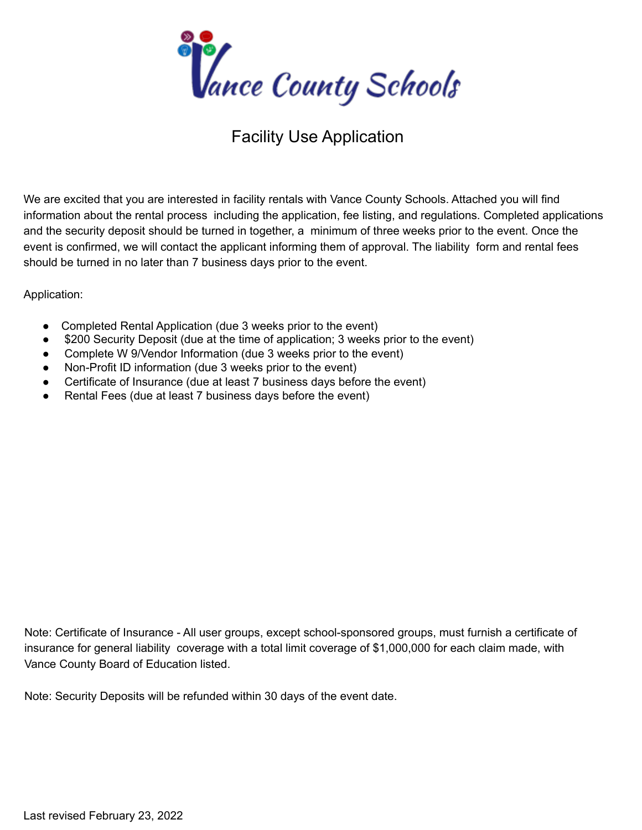

## Facility Use Application

We are excited that you are interested in facility rentals with Vance County Schools. Attached you will find information about the rental process including the application, fee listing, and regulations. Completed applications and the security deposit should be turned in together, a minimum of three weeks prior to the event. Once the event is confirmed, we will contact the applicant informing them of approval. The liability form and rental fees should be turned in no later than 7 business days prior to the event.

Application:

- Completed Rental Application (due 3 weeks prior to the event)
- \$200 Security Deposit (due at the time of application; 3 weeks prior to the event)
- Complete W 9/Vendor Information (due 3 weeks prior to the event)
- Non-Profit ID information (due 3 weeks prior to the event)
- Certificate of Insurance (due at least 7 business days before the event)
- Rental Fees (due at least 7 business days before the event)

Note: Certificate of Insurance - All user groups, except school-sponsored groups, must furnish a certificate of insurance for general liability coverage with a total limit coverage of \$1,000,000 for each claim made, with Vance County Board of Education listed.

Note: Security Deposits will be refunded within 30 days of the event date.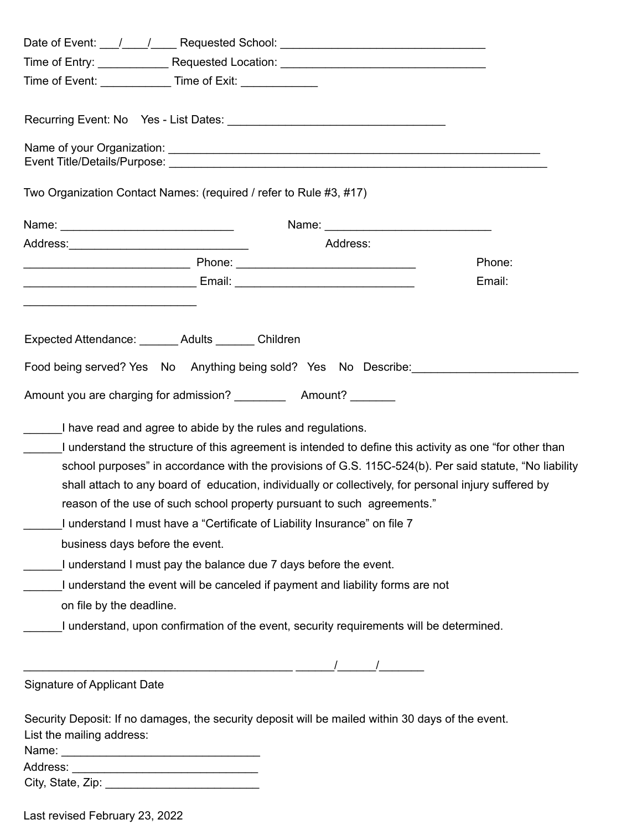|                                    | Time of Entry: _______________Requested Location: _______________________________                                                                                                                                                                                                                                                                                                                                                                                                                                                                                                                                       |        |
|------------------------------------|-------------------------------------------------------------------------------------------------------------------------------------------------------------------------------------------------------------------------------------------------------------------------------------------------------------------------------------------------------------------------------------------------------------------------------------------------------------------------------------------------------------------------------------------------------------------------------------------------------------------------|--------|
|                                    | Time of Event: ________________Time of Exit: _______________                                                                                                                                                                                                                                                                                                                                                                                                                                                                                                                                                            |        |
|                                    |                                                                                                                                                                                                                                                                                                                                                                                                                                                                                                                                                                                                                         |        |
|                                    |                                                                                                                                                                                                                                                                                                                                                                                                                                                                                                                                                                                                                         |        |
|                                    | Two Organization Contact Names: (required / refer to Rule #3, #17)                                                                                                                                                                                                                                                                                                                                                                                                                                                                                                                                                      |        |
|                                    |                                                                                                                                                                                                                                                                                                                                                                                                                                                                                                                                                                                                                         |        |
|                                    | Address:                                                                                                                                                                                                                                                                                                                                                                                                                                                                                                                                                                                                                |        |
|                                    |                                                                                                                                                                                                                                                                                                                                                                                                                                                                                                                                                                                                                         | Phone: |
|                                    |                                                                                                                                                                                                                                                                                                                                                                                                                                                                                                                                                                                                                         | Email: |
|                                    |                                                                                                                                                                                                                                                                                                                                                                                                                                                                                                                                                                                                                         |        |
|                                    | Expected Attendance: _______ Adults _______ Children                                                                                                                                                                                                                                                                                                                                                                                                                                                                                                                                                                    |        |
|                                    | Food being served? Yes No Anything being sold? Yes No Describe:                                                                                                                                                                                                                                                                                                                                                                                                                                                                                                                                                         |        |
|                                    | Amount you are charging for admission? _____________ Amount? ________                                                                                                                                                                                                                                                                                                                                                                                                                                                                                                                                                   |        |
| business days before the event.    | I have read and agree to abide by the rules and regulations.<br>I understand the structure of this agreement is intended to define this activity as one "for other than<br>school purposes" in accordance with the provisions of G.S. 115C-524(b). Per said statute, "No liability<br>shall attach to any board of education, individually or collectively, for personal injury suffered by<br>reason of the use of such school property pursuant to such agreements."<br>I understand I must have a "Certificate of Liability Insurance" on file 7<br>I understand I must pay the balance due 7 days before the event. |        |
|                                    | I understand the event will be canceled if payment and liability forms are not                                                                                                                                                                                                                                                                                                                                                                                                                                                                                                                                          |        |
| on file by the deadline.           |                                                                                                                                                                                                                                                                                                                                                                                                                                                                                                                                                                                                                         |        |
|                                    | I understand, upon confirmation of the event, security requirements will be determined.                                                                                                                                                                                                                                                                                                                                                                                                                                                                                                                                 |        |
|                                    |                                                                                                                                                                                                                                                                                                                                                                                                                                                                                                                                                                                                                         |        |
| <b>Signature of Applicant Date</b> |                                                                                                                                                                                                                                                                                                                                                                                                                                                                                                                                                                                                                         |        |
| List the mailing address:          | Security Deposit: If no damages, the security deposit will be mailed within 30 days of the event.                                                                                                                                                                                                                                                                                                                                                                                                                                                                                                                       |        |
|                                    |                                                                                                                                                                                                                                                                                                                                                                                                                                                                                                                                                                                                                         |        |
|                                    |                                                                                                                                                                                                                                                                                                                                                                                                                                                                                                                                                                                                                         |        |
|                                    |                                                                                                                                                                                                                                                                                                                                                                                                                                                                                                                                                                                                                         |        |

Last revised February 23, 2022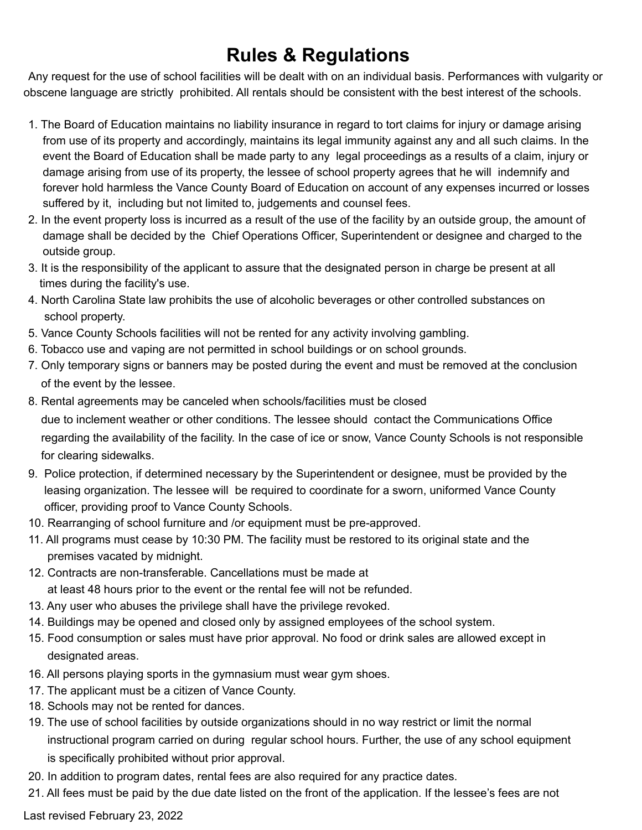## **Rules & Regulations**

Any request for the use of school facilities will be dealt with on an individual basis. Performances with vulgarity or obscene language are strictly prohibited. All rentals should be consistent with the best interest of the schools.

- 1. The Board of Education maintains no liability insurance in regard to tort claims for injury or damage arising from use of its property and accordingly, maintains its legal immunity against any and all such claims. In the event the Board of Education shall be made party to any legal proceedings as a results of a claim, injury or damage arising from use of its property, the lessee of school property agrees that he will indemnify and forever hold harmless the Vance County Board of Education on account of any expenses incurred or losses suffered by it, including but not limited to, judgements and counsel fees.
- 2. In the event property loss is incurred as a result of the use of the facility by an outside group, the amount of damage shall be decided by the Chief Operations Officer, Superintendent or designee and charged to the outside group.
- 3. It is the responsibility of the applicant to assure that the designated person in charge be present at all times during the facility's use.
- 4. North Carolina State law prohibits the use of alcoholic beverages or other controlled substances on school property.
- 5. Vance County Schools facilities will not be rented for any activity involving gambling.
- 6. Tobacco use and vaping are not permitted in school buildings or on school grounds.
- 7. Only temporary signs or banners may be posted during the event and must be removed at the conclusion of the event by the lessee.
- 8. Rental agreements may be canceled when schools/facilities must be closed due to inclement weather or other conditions. The lessee should contact the Communications Office regarding the availability of the facility. In the case of ice or snow, Vance County Schools is not responsible for clearing sidewalks.
- 9. Police protection, if determined necessary by the Superintendent or designee, must be provided by the leasing organization. The lessee will be required to coordinate for a sworn, uniformed Vance County officer, providing proof to Vance County Schools.
- 10. Rearranging of school furniture and /or equipment must be pre-approved.
- 11. All programs must cease by 10:30 PM. The facility must be restored to its original state and the premises vacated by midnight.
- 12. Contracts are non-transferable. Cancellations must be made at at least 48 hours prior to the event or the rental fee will not be refunded.
- 13. Any user who abuses the privilege shall have the privilege revoked.
- 14. Buildings may be opened and closed only by assigned employees of the school system.
- 15. Food consumption or sales must have prior approval. No food or drink sales are allowed except in designated areas.
- 16. All persons playing sports in the gymnasium must wear gym shoes.
- 17. The applicant must be a citizen of Vance County.
- 18. Schools may not be rented for dances.
- 19. The use of school facilities by outside organizations should in no way restrict or limit the normal instructional program carried on during regular school hours. Further, the use of any school equipment is specifically prohibited without prior approval.
- 20. In addition to program dates, rental fees are also required for any practice dates.
- 21. All fees must be paid by the due date listed on the front of the application. If the lessee's fees are not

Last revised February 23, 2022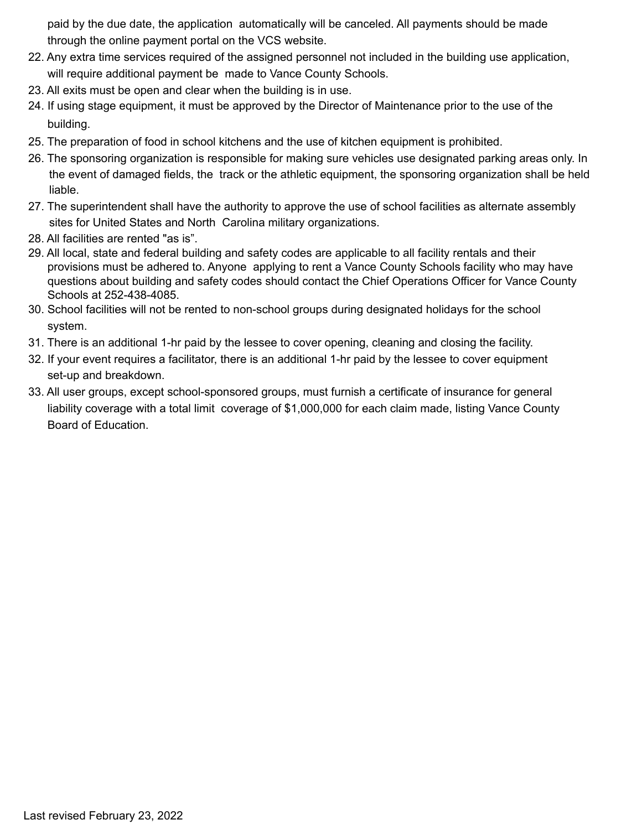paid by the due date, the application automatically will be canceled. All payments should be made through the online payment portal on the VCS website.

- 22. Any extra time services required of the assigned personnel not included in the building use application, will require additional payment be made to Vance County Schools.
- 23. All exits must be open and clear when the building is in use.
- 24. If using stage equipment, it must be approved by the Director of Maintenance prior to the use of the building.
- 25. The preparation of food in school kitchens and the use of kitchen equipment is prohibited.
- 26. The sponsoring organization is responsible for making sure vehicles use designated parking areas only. In the event of damaged fields, the track or the athletic equipment, the sponsoring organization shall be held liable.
- 27. The superintendent shall have the authority to approve the use of school facilities as alternate assembly sites for United States and North Carolina military organizations.
- 28. All facilities are rented "as is".
- 29. All local, state and federal building and safety codes are applicable to all facility rentals and their provisions must be adhered to. Anyone applying to rent a Vance County Schools facility who may have questions about building and safety codes should contact the Chief Operations Officer for Vance County Schools at 252-438-4085.
- 30. School facilities will not be rented to non-school groups during designated holidays for the school system.
- 31. There is an additional 1-hr paid by the lessee to cover opening, cleaning and closing the facility.
- 32. If your event requires a facilitator, there is an additional 1-hr paid by the lessee to cover equipment set-up and breakdown.
- 33. All user groups, except school-sponsored groups, must furnish a certificate of insurance for general liability coverage with a total limit coverage of \$1,000,000 for each claim made, listing Vance County Board of Education.